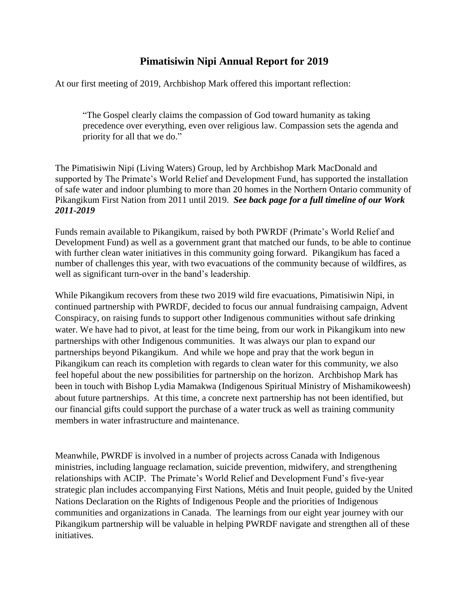## **Pimatisiwin Nipi Annual Report for 2019**

At our first meeting of 2019, Archbishop Mark offered this important reflection:

"The Gospel clearly claims the compassion of God toward humanity as taking precedence over everything, even over religious law. Compassion sets the agenda and priority for all that we do."

The Pimatisiwin Nipi (Living Waters) Group, led by Archbishop Mark MacDonald and supported by The Primate's World Relief and Development Fund, has supported the installation of safe water and indoor plumbing to more than 20 homes in the Northern Ontario community of Pikangikum First Nation from 2011 until 2019. *See back page for a full timeline of our Work 2011-2019*

Funds remain available to Pikangikum, raised by both PWRDF (Primate's World Relief and Development Fund) as well as a government grant that matched our funds, to be able to continue with further clean water initiatives in this community going forward. Pikangikum has faced a number of challenges this year, with two evacuations of the community because of wildfires, as well as significant turn-over in the band's leadership.

While Pikangikum recovers from these two 2019 wild fire evacuations, Pimatisiwin Nipi, in continued partnership with PWRDF, decided to focus our annual fundraising campaign, Advent Conspiracy, on raising funds to support other Indigenous communities without safe drinking water. We have had to pivot, at least for the time being, from our work in Pikangikum into new partnerships with other Indigenous communities. It was always our plan to expand our partnerships beyond Pikangikum. And while we hope and pray that the work begun in Pikangikum can reach its completion with regards to clean water for this community, we also feel hopeful about the new possibilities for partnership on the horizon. Archbishop Mark has been in touch with Bishop Lydia Mamakwa (Indigenous Spiritual Ministry of Mishamikoweesh) about future partnerships. At this time, a concrete next partnership has not been identified, but our financial gifts could support the purchase of a water truck as well as training community members in water infrastructure and maintenance.

Meanwhile, PWRDF is involved in a number of projects across Canada with Indigenous ministries, including language reclamation, suicide prevention, midwifery, and strengthening relationships with ACIP. The Primate's World Relief and Development Fund's five-year strategic plan includes accompanying First Nations, Métis and Inuit people, guided by the United Nations Declaration on the Rights of Indigenous People and the priorities of Indigenous communities and organizations in Canada. The learnings from our eight year journey with our Pikangikum partnership will be valuable in helping PWRDF navigate and strengthen all of these initiatives.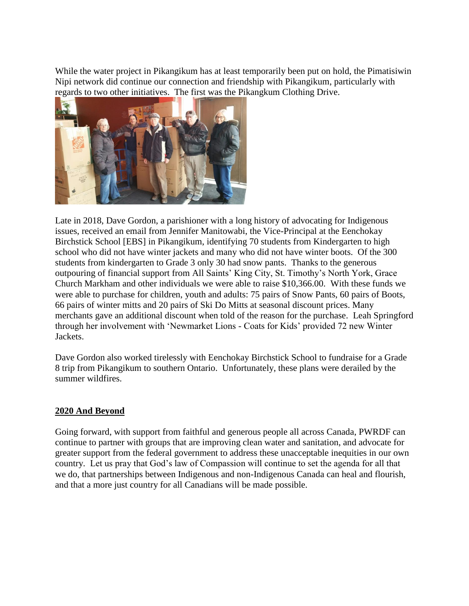While the water project in Pikangikum has at least temporarily been put on hold, the Pimatisiwin Nipi network did continue our connection and friendship with Pikangikum, particularly with regards to two other initiatives. The first was the Pikangkum Clothing Drive.



Late in 2018, Dave Gordon, a parishioner with a long history of advocating for Indigenous issues, received an email from Jennifer Manitowabi, the Vice-Principal at the Eenchokay Birchstick School [EBS] in Pikangikum, identifying 70 students from Kindergarten to high school who did not have winter jackets and many who did not have winter boots. Of the 300 students from kindergarten to Grade 3 only 30 had snow pants. Thanks to the generous outpouring of financial support from All Saints' King City, St. Timothy's North York, Grace Church Markham and other individuals we were able to raise \$10,366.00. With these funds we were able to purchase for children, youth and adults: 75 pairs of Snow Pants, 60 pairs of Boots, 66 pairs of winter mitts and 20 pairs of Ski Do Mitts at seasonal discount prices. Many merchants gave an additional discount when told of the reason for the purchase. Leah Springford through her involvement with 'Newmarket Lions - Coats for Kids' provided 72 new Winter Jackets.

Dave Gordon also worked tirelessly with Eenchokay Birchstick School to fundraise for a Grade 8 trip from Pikangikum to southern Ontario. Unfortunately, these plans were derailed by the summer wildfires.

## **2020 And Beyond**

Going forward, with support from faithful and generous people all across Canada, PWRDF can continue to partner with groups that are improving clean water and sanitation, and advocate for greater support from the federal government to address these unacceptable inequities in our own country. Let us pray that God's law of Compassion will continue to set the agenda for all that we do, that partnerships between Indigenous and non-Indigenous Canada can heal and flourish, and that a more just country for all Canadians will be made possible.